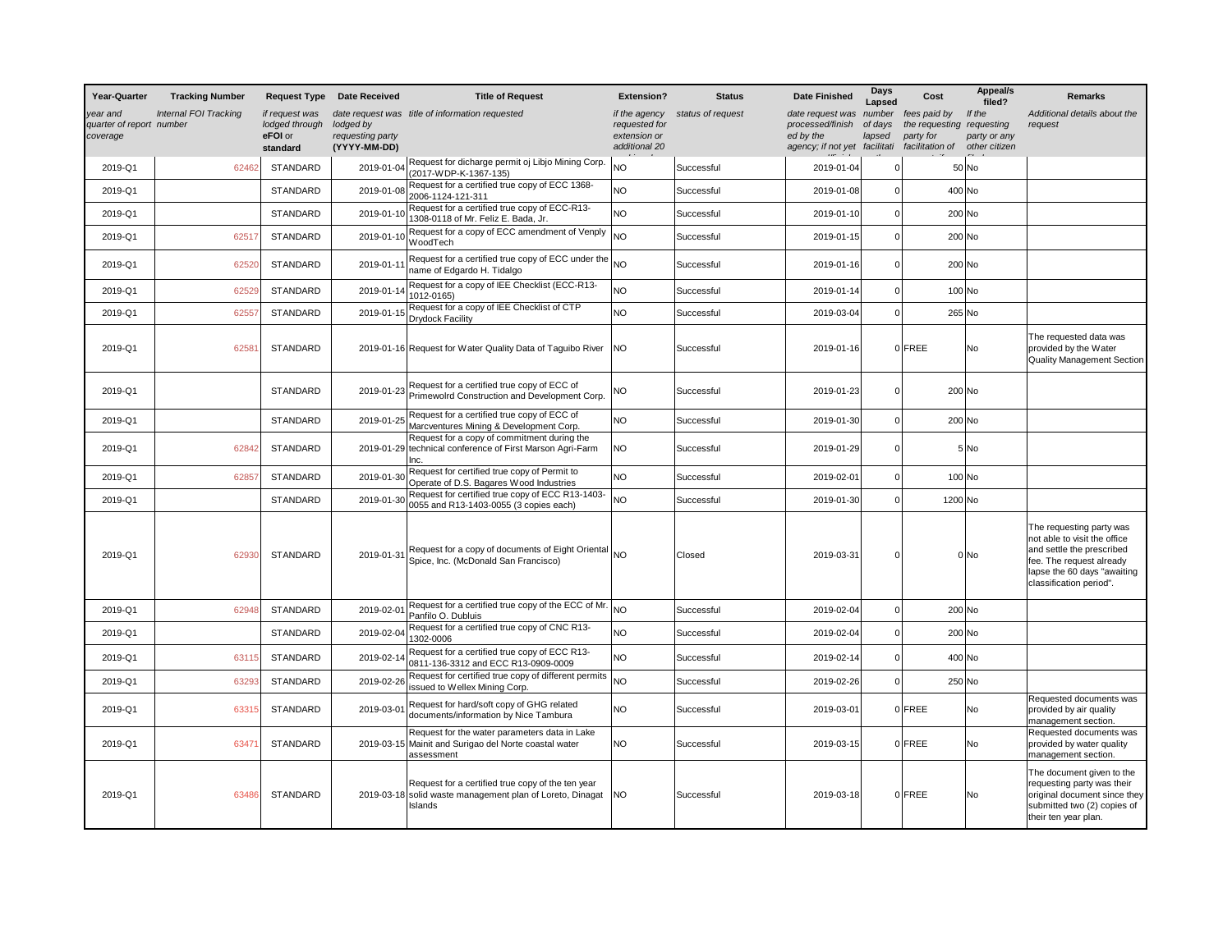| Year-Quarter                                    | <b>Tracking Number</b> | <b>Request Type</b>                                     | <b>Date Received</b>                          | <b>Title of Request</b>                                                                                                   | <b>Extension?</b>                                               | <b>Status</b>     | <b>Date Finished</b>                                                                      | Days<br>Lapsed    | Cost                                                                      | Appeal/s<br>filed?                      | <b>Remarks</b>                                                                                                                                                              |
|-------------------------------------------------|------------------------|---------------------------------------------------------|-----------------------------------------------|---------------------------------------------------------------------------------------------------------------------------|-----------------------------------------------------------------|-------------------|-------------------------------------------------------------------------------------------|-------------------|---------------------------------------------------------------------------|-----------------------------------------|-----------------------------------------------------------------------------------------------------------------------------------------------------------------------------|
| ear and<br>quarter of report number<br>coverage | Internal FOI Tracking  | if request was<br>lodged through<br>eFOI or<br>standard | lodged by<br>requesting party<br>(YYYY-MM-DD) | date request was title of information requested                                                                           | if the agency<br>requested for<br>extension or<br>additional 20 | status of request | date request was number<br>processed/finish<br>ed by the<br>agency; if not yet facilitati | of days<br>lapsed | fees paid by<br>the requesting requesting<br>party for<br>facilitation of | If the<br>party or any<br>other citizen | Additional details about the<br>request                                                                                                                                     |
| 2019-Q1                                         | 62462                  | <b>STANDARD</b>                                         | 2019-01-04                                    | Request for dicharge permit oj Libjo Mining Corp.<br>(2017-WDP-K-1367-135)                                                | NO                                                              | Successful        | 2019-01-04                                                                                | 0                 |                                                                           | $50$ No                                 |                                                                                                                                                                             |
| 2019-Q1                                         |                        | STANDARD                                                | 2019-01-0                                     | Request for a certified true copy of ECC 1368-<br>2006-1124-121-311                                                       | <b>NO</b>                                                       | Successful        | 2019-01-08                                                                                | C                 |                                                                           | 400 No                                  |                                                                                                                                                                             |
| 2019-Q1                                         |                        | STANDARD                                                | 2019-01-1                                     | Request for a certified true copy of ECC-R13-<br>1308-0118 of Mr. Feliz E. Bada, Jr.                                      | NO                                                              | Successful        | 2019-01-10                                                                                | $\Omega$          |                                                                           | 200 No                                  |                                                                                                                                                                             |
| 2019-Q1                                         | 62517                  | <b>STANDARD</b>                                         | 2019-01-1                                     | Request for a copy of ECC amendment of Venply<br>WoodTech                                                                 | NO                                                              | Successful        | 2019-01-15                                                                                | C                 |                                                                           | 200 No                                  |                                                                                                                                                                             |
| 2019-Q1                                         | 6252                   | <b>STANDARD</b>                                         | 2019-01-1                                     | Request for a certified true copy of ECC under the<br>name of Edgardo H. Tidalgo                                          | <b>NO</b>                                                       | Successful        | 2019-01-16                                                                                | $\Omega$          |                                                                           | 200 No                                  |                                                                                                                                                                             |
| 2019-Q1                                         | 6252                   | <b>STANDARD</b>                                         | $2019 - 01 -$                                 | Request for a copy of IEE Checklist (ECC-R13-<br>1012-0165)                                                               | <b>NO</b>                                                       | Successful        | 2019-01-14                                                                                | C                 |                                                                           | 100 No                                  |                                                                                                                                                                             |
| 2019-Q1                                         | 6255                   | STANDARD                                                | 2019-01-1                                     | Request for a copy of IEE Checklist of CTP<br><b>Drydock Facility</b>                                                     | <b>NO</b>                                                       | Successful        | 2019-03-04                                                                                |                   |                                                                           | 265 No                                  |                                                                                                                                                                             |
| 2019-Q1                                         | 6258                   | STANDARD                                                |                                               | 2019-01-16 Request for Water Quality Data of Taguibo River                                                                | <b>NO</b>                                                       | Successful        | 2019-01-16                                                                                |                   | 0 FREE                                                                    | No                                      | The requested data was<br>provided by the Water<br>Quality Management Section                                                                                               |
| 2019-Q1                                         |                        | <b>STANDARD</b>                                         | 2019-01-23                                    | Request for a certified true copy of ECC of<br>Primewolrd Construction and Development Corp.                              | <b>NO</b>                                                       | Successful        | 2019-01-23                                                                                | $\Omega$          |                                                                           | 200 No                                  |                                                                                                                                                                             |
| 2019-Q1                                         |                        | <b>STANDARD</b>                                         | 2019-01-25                                    | Request for a certified true copy of ECC of<br>Marcventures Mining & Development Corp.                                    | <b>NO</b>                                                       | Successful        | 2019-01-30                                                                                | $\Omega$          |                                                                           | 200 No                                  |                                                                                                                                                                             |
| 2019-Q1                                         | 62842                  | STANDARD                                                |                                               | Request for a copy of commitment during the<br>2019-01-29 technical conference of First Marson Agri-Farm<br>Inc.          | <b>NO</b>                                                       | Successful        | 2019-01-29                                                                                | C                 |                                                                           | 5 No                                    |                                                                                                                                                                             |
| 2019-Q1                                         | 6285                   | <b>STANDARD</b>                                         | 2019-01-30                                    | Request for certified true copy of Permit to<br>Operate of D.S. Bagares Wood Industries                                   | <b>NO</b>                                                       | Successful        | 2019-02-01                                                                                | $\Omega$          |                                                                           | 100 No                                  |                                                                                                                                                                             |
| 2019-Q1                                         |                        | STANDARD                                                | 2019-01-30                                    | Request for certified true copy of ECC R13-1403-<br>0055 and R13-1403-0055 (3 copies each)                                | <b>NO</b>                                                       | Successful        | 2019-01-30                                                                                |                   | 1200 No                                                                   |                                         |                                                                                                                                                                             |
| 2019-Q1                                         | 62930                  | <b>STANDARD</b>                                         | 2019-01-31                                    | Request for a copy of documents of Eight Oriental NO<br>Spice, Inc. (McDonald San Francisco)                              |                                                                 | Closed            | 2019-03-31                                                                                | $\mathcal{L}$     |                                                                           | 0 <sub>No</sub>                         | The requesting party was<br>not able to visit the office<br>and settle the prescribed<br>fee. The request already<br>lapse the 60 days "awaiting<br>classification period". |
| 2019-Q1                                         | 62948                  | <b>STANDARD</b>                                         | 2019-02-01                                    | Request for a certified true copy of the ECC of Mr.<br>Panfilo O. Dubluis                                                 | <b>NO</b>                                                       | Successful        | 2019-02-04                                                                                | $\Omega$          |                                                                           | 200 No                                  |                                                                                                                                                                             |
| 2019-Q1                                         |                        | STANDARD                                                | 2019-02-04                                    | Request for a certified true copy of CNC R13-<br>1302-0006                                                                | <b>NO</b>                                                       | Successful        | 2019-02-04                                                                                | $\Omega$          |                                                                           | 200 No                                  |                                                                                                                                                                             |
| 2019-Q1                                         | 6311                   | STANDARD                                                | 2019-02-1                                     | Request for a certified true copy of ECC R13-<br>0811-136-3312 and ECC R13-0909-0009                                      | NO                                                              | Successful        | 2019-02-14                                                                                | $\Omega$          |                                                                           | 400 No                                  |                                                                                                                                                                             |
| 2019-Q1                                         | 6329                   | STANDARD                                                | 2019-02-26                                    | Request for certified true copy of different permits<br>issued to Wellex Mining Corp.                                     | NO                                                              | Successful        | 2019-02-26                                                                                |                   |                                                                           | 250 No                                  |                                                                                                                                                                             |
| 2019-Q1                                         | 6331                   | STANDARD                                                | 2019-03-0                                     | Request for hard/soft copy of GHG related<br>documents/information by Nice Tambura                                        | <b>NO</b>                                                       | Successful        | 2019-03-01                                                                                |                   | <b>OFREE</b>                                                              | No                                      | Requested documents was<br>provided by air quality<br>management section.                                                                                                   |
| 2019-Q1                                         | 6347'                  | STANDARD                                                |                                               | Request for the water parameters data in Lake<br>2019-03-15 Mainit and Surigao del Norte coastal water<br>assessment      | <b>NO</b>                                                       | Successful        | 2019-03-15                                                                                |                   | 0 FREE                                                                    | No                                      | Requested documents was<br>provided by water quality<br>management section.                                                                                                 |
| 2019-Q1                                         | 63486                  | STANDARD                                                |                                               | Request for a certified true copy of the ten year<br>2019-03-18 solid waste management plan of Loreto, Dinagat<br>Islands | N <sub>O</sub>                                                  | Successful        | 2019-03-18                                                                                |                   | 0 FREE                                                                    | No                                      | The document given to the<br>requesting party was their<br>original document since they<br>submitted two (2) copies of<br>their ten year plan.                              |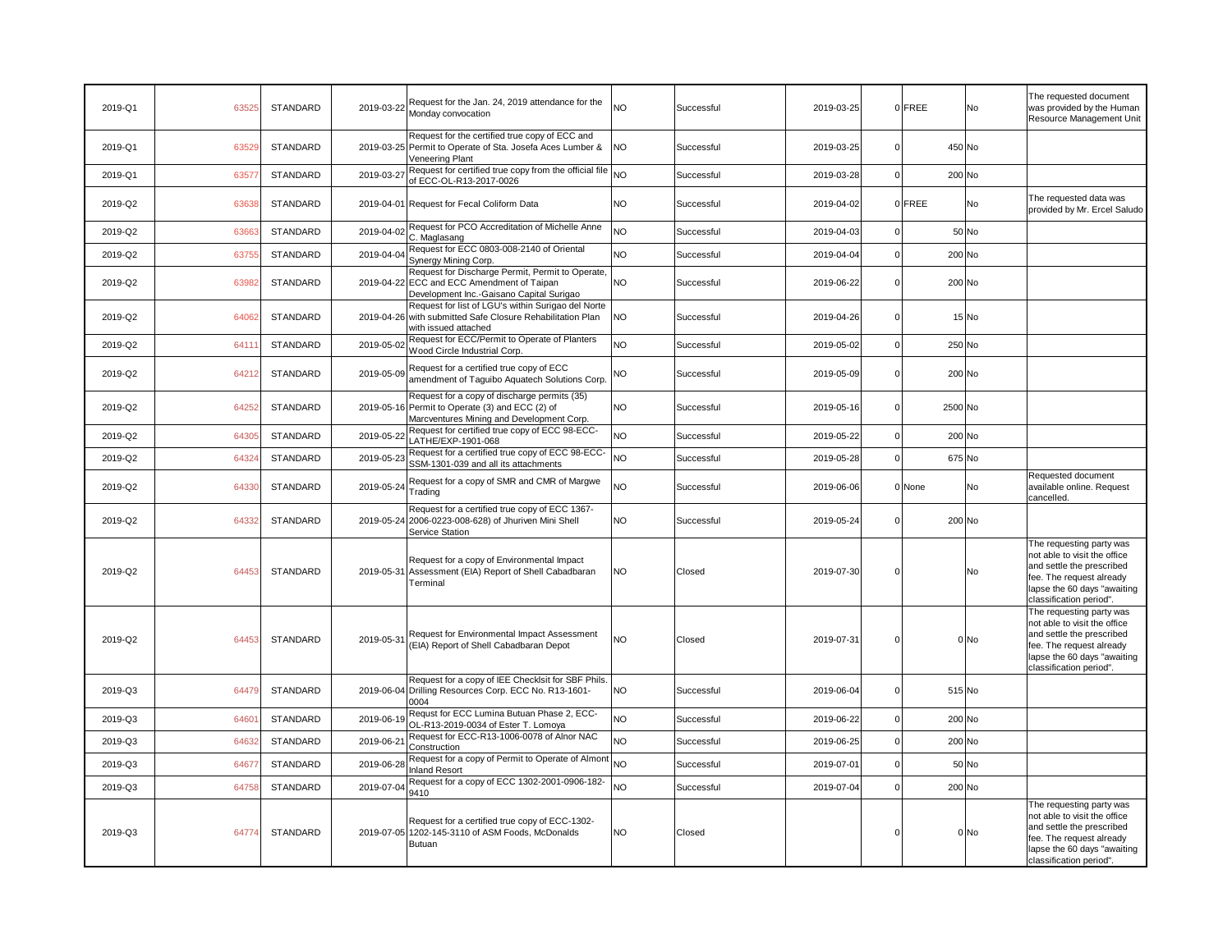| 2019-Q1 | 63525 | STANDARD        |            | 2019-03-22 Request for the Jan. 24, 2019 attendance for the<br>Monday convocation                                                            | NO.       | Successful | 2019-03-25 |             | 0 FREE  | No      | The requested document<br>was provided by the Human<br>Resource Management Unit                                                                                             |
|---------|-------|-----------------|------------|----------------------------------------------------------------------------------------------------------------------------------------------|-----------|------------|------------|-------------|---------|---------|-----------------------------------------------------------------------------------------------------------------------------------------------------------------------------|
| 2019-Q1 | 6352  | STANDARD        |            | Request for the certified true copy of ECC and<br>2019-03-25 Permit to Operate of Sta. Josefa Aces Lumber &<br>Veneering Plant               | NO        | Successful | 2019-03-25 | $\mathbf 0$ | 450 No  |         |                                                                                                                                                                             |
| 2019-Q1 | 6357  | STANDARD        |            | 2019-03-27 Request for certified true copy from the official file<br>of ECC-OL-R13-2017-0026                                                 | NO        | Successful | 2019-03-28 | $\Omega$    | 200 No  |         |                                                                                                                                                                             |
| 2019-Q2 | 6363  | STANDARD        |            | 2019-04-01 Request for Fecal Coliform Data                                                                                                   | <b>NO</b> | Successful | 2019-04-02 |             | 0 FREE  | No      | The requested data was<br>provided by Mr. Ercel Saludo                                                                                                                      |
| 2019-Q2 | 6366  | STANDARD        | 2019-04-02 | Request for PCO Accreditation of Michelle Anne<br>C. Maglasang                                                                               | NO        | Successful | 2019-04-03 | $\Omega$    |         | 50 No   |                                                                                                                                                                             |
| 2019-Q2 | 6375  | STANDARD        | 2019-04-04 | Request for ECC 0803-008-2140 of Oriental<br>Synergy Mining Corp.                                                                            | NO        | Successful | 2019-04-04 | $\Omega$    | 200 No  |         |                                                                                                                                                                             |
| 2019-Q2 | 6398  | STANDARD        |            | Request for Discharge Permit, Permit to Operate,<br>2019-04-22 ECC and ECC Amendment of Taipan<br>Development Inc.-Gaisano Capital Surigao   | NO        | Successful | 2019-06-22 | $\mathbf 0$ | 200 No  |         |                                                                                                                                                                             |
| 2019-Q2 | 64062 | STANDARD        |            | Request for list of LGU's within Surigao del Norte<br>2019-04-26 with submitted Safe Closure Rehabilitation Plan<br>with issued attached     | NO        | Successful | 2019-04-26 | $\Omega$    |         | $15$ No |                                                                                                                                                                             |
| 2019-Q2 | 6411  | STANDARD        |            | 2019-05-02 Request for ECC/Permit to Operate of Planters<br>Wood Circle Industrial Corp.                                                     | NO        | Successful | 2019-05-02 | $\Omega$    | 250 No  |         |                                                                                                                                                                             |
| 2019-Q2 | 64212 | <b>STANDARD</b> | 2019-05-09 | Request for a certified true copy of ECC<br>amendment of Taquibo Aquatech Solutions Corp.                                                    | NO.       | Successful | 2019-05-09 | $\Omega$    | 200 No  |         |                                                                                                                                                                             |
| 2019-Q2 | 64252 | STANDARD        |            | Request for a copy of discharge permits (35)<br>2019-05-16 Permit to Operate (3) and ECC (2) of<br>Marcventures Mining and Development Corp. | NO        | Successful | 2019-05-16 | $\Omega$    | 2500 No |         |                                                                                                                                                                             |
| 2019-Q2 | 6430  | STANDARD        | 2019-05-2  | Request for certified true copy of ECC 98-ECC-<br>LATHE/EXP-1901-068                                                                         | NO        | Successful | 2019-05-22 | $\Omega$    | 200 No  |         |                                                                                                                                                                             |
| 2019-Q2 | 6432  | STANDARD        | 2019-05-23 | Request for a certified true copy of ECC 98-ECC-<br>SSM-1301-039 and all its attachments                                                     | NO.       | Successful | 2019-05-28 | $\Omega$    | 675 No  |         |                                                                                                                                                                             |
| 2019-Q2 | 64330 | STANDARD        | 2019-05-24 | Request for a copy of SMR and CMR of Margwe<br>Trading                                                                                       | NO        | Successful | 2019-06-06 |             | 0 None  | No      | Requested document<br>available online. Request<br>cancelled.                                                                                                               |
| 2019-Q2 | 64332 | STANDARD        |            | Request for a certified true copy of ECC 1367-<br>2019-05-24 2006-0223-008-628) of Jhuriven Mini Shell<br>Service Station                    | NO.       | Successful | 2019-05-24 | $\Omega$    | 200 No  |         |                                                                                                                                                                             |
| 2019-Q2 | 64453 | STANDARD        |            | Request for a copy of Environmental Impact<br>2019-05-31 Assessment (EIA) Report of Shell Cabadbaran<br>Terminal                             | NO        | Closed     | 2019-07-30 | $\Omega$    |         | No      | The requesting party was<br>not able to visit the office<br>and settle the prescribed<br>fee. The request already<br>lapse the 60 days "awaiting<br>classification period". |
| 2019-Q2 | 64453 | <b>STANDARD</b> | 2019-05-31 | Request for Environmental Impact Assessment<br>(EIA) Report of Shell Cabadbaran Depot                                                        | NO        | Closed     | 2019-07-31 | $\Omega$    |         | 0 No    | The requesting party was<br>not able to visit the office<br>and settle the prescribed<br>fee. The request already<br>lapse the 60 days "awaiting<br>classification period". |
| 2019-Q3 | 64479 | STANDARD        |            | Request for a copy of IEE Checklsit for SBF Phils.<br>2019-06-04 Drilling Resources Corp. ECC No. R13-1601-<br>0004                          | NO        | Successful | 2019-06-04 | $\Omega$    | 515 No  |         |                                                                                                                                                                             |
| 2019-Q3 | 6460  | STANDARD        | 2019-06-1  | Requst for ECC Lumina Butuan Phase 2, ECC-<br>OL-R13-2019-0034 of Ester T. Lomoya                                                            | NO        | Successful | 2019-06-22 | $\Omega$    | 200 No  |         |                                                                                                                                                                             |
| 2019-Q3 | 64632 | STANDARD        | 2019-06-21 | Request for ECC-R13-1006-0078 of Alnor NAC<br>Construction                                                                                   | NO        | Successful | 2019-06-25 | $\Omega$    | 200 No  |         |                                                                                                                                                                             |
| 2019-Q3 | 6467  | STANDARD        |            | 2019-06-28 Request for a copy of Permit to Operate of Almont<br><b>Inland Resort</b>                                                         | <b>NO</b> | Successful | 2019-07-01 | $\Omega$    |         | 50 No   |                                                                                                                                                                             |
| 2019-Q3 | 64758 | STANDARD        | 2019-07-04 | Request for a copy of ECC 1302-2001-0906-182-<br>9410                                                                                        | NO        | Successful | 2019-07-04 | $\Omega$    | 200 No  |         |                                                                                                                                                                             |
| 2019-Q3 | 64774 | STANDARD        |            | Request for a certified true copy of ECC-1302-<br>2019-07-05 1202-145-3110 of ASM Foods, McDonalds<br>Butuan                                 | NO.       | Closed     |            | $\Omega$    |         | 0 No    | The requesting party was<br>not able to visit the office<br>and settle the prescribed<br>fee. The request already<br>lapse the 60 days "awaiting<br>classification period". |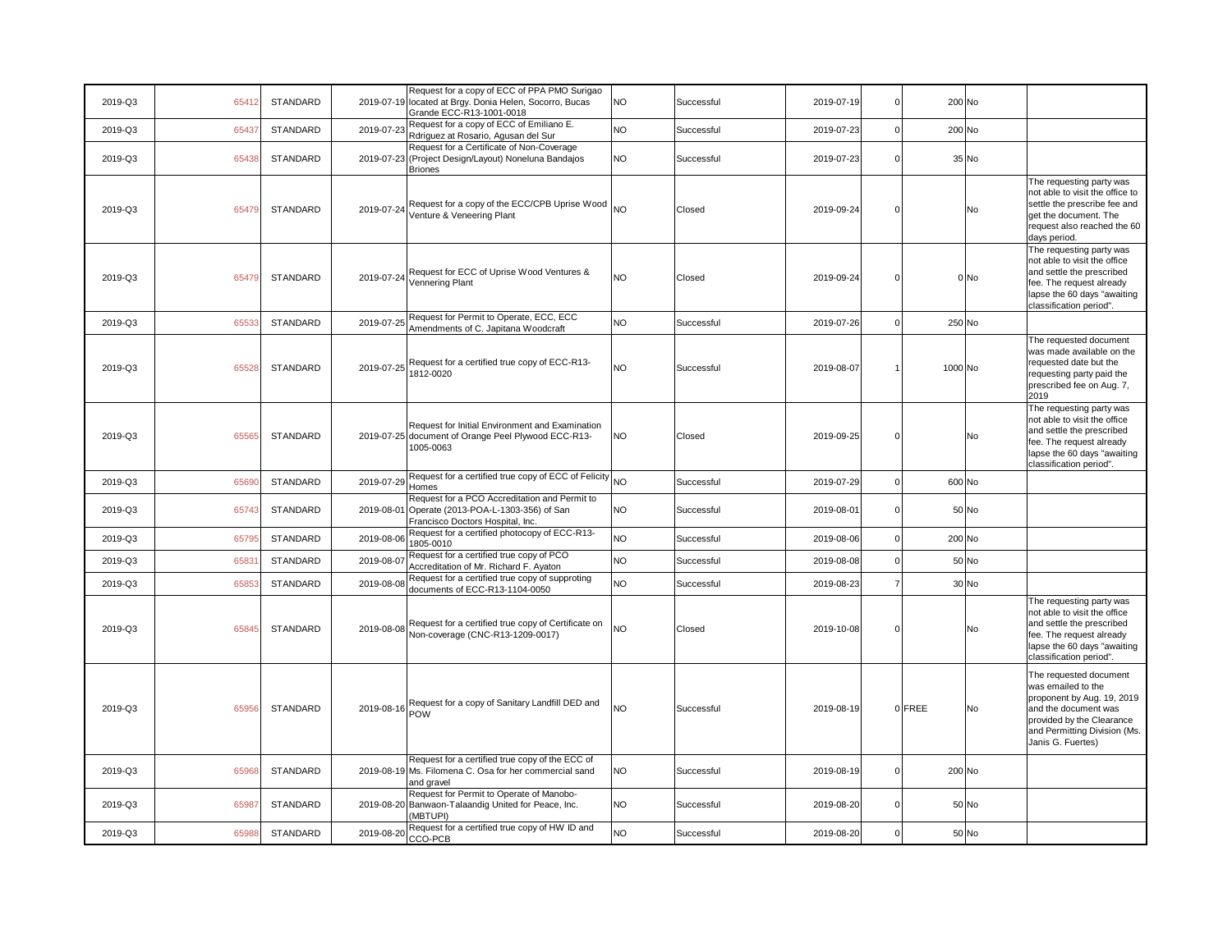| 2019-Q3 | 65412 | <b>STANDARD</b> |                      | Request for a copy of ECC of PPA PMO Surigao<br>2019-07-19 located at Brgy. Donia Helen, Socorro, Bucas<br>Grande ECC-R13-1001-0018  | N <sub>O</sub> | Successful | 2019-07-19 | $\epsilon$ | 200 No  |       |                                                                                                                                                                                      |
|---------|-------|-----------------|----------------------|--------------------------------------------------------------------------------------------------------------------------------------|----------------|------------|------------|------------|---------|-------|--------------------------------------------------------------------------------------------------------------------------------------------------------------------------------------|
| 2019-Q3 | 65437 | STANDARD        | 2019-07-23           | Request for a copy of ECC of Emiliano E.<br>Rdriguez at Rosario, Agusan del Sur                                                      | <b>NO</b>      | Successful | 2019-07-23 | $\Omega$   | 200 No  |       |                                                                                                                                                                                      |
| 2019-Q3 | 65438 | STANDARD        |                      | Request for a Certificate of Non-Coverage<br>2019-07-23 (Project Design/Layout) Noneluna Bandajos<br><b>Briones</b>                  | NO             | Successful | 2019-07-23 | $\epsilon$ |         | 35 No |                                                                                                                                                                                      |
| 2019-Q3 | 65479 | STANDARD        | 2019-07-24           | Request for a copy of the ECC/CPB Uprise Wood NO<br>Venture & Veneering Plant                                                        |                | Closed     | 2019-09-24 | $\sqrt{ }$ |         | No    | The requesting party was<br>not able to visit the office to<br>settle the prescribe fee and<br>get the document. The<br>request also reached the 60<br>days period.                  |
| 2019-Q3 | 65479 | <b>STANDARD</b> | 2019-07-24           | Request for ECC of Uprise Wood Ventures &<br>Vennering Plant                                                                         | NO             | Closed     | 2019-09-24 | $\epsilon$ |         | 0 No  | The requesting party was<br>not able to visit the office<br>and settle the prescribed<br>fee. The request already<br>lapse the 60 days "awaiting<br>classification period".          |
| 2019-Q3 | 65533 | <b>STANDARD</b> | 2019-07-25           | Request for Permit to Operate, ECC, ECC<br>Amendments of C. Japitana Woodcraft                                                       | <b>NO</b>      | Successful | 2019-07-26 | $\epsilon$ | 250 No  |       |                                                                                                                                                                                      |
| 2019-Q3 | 65528 | STANDARD        | 2019-07-25 1812-0020 | Request for a certified true copy of ECC-R13-                                                                                        | <b>NO</b>      | Successful | 2019-08-07 |            | 1000 No |       | The requested document<br>was made available on the<br>requested date but the<br>requesting party paid the<br>prescribed fee on Aug. 7,<br>2019                                      |
| 2019-Q3 | 65565 | STANDARD        |                      | Request for Initial Environment and Examination<br>2019-07-25 document of Orange Peel Plywood ECC-R13-<br>1005-0063                  | N <sub>O</sub> | Closed     | 2019-09-25 | $\Omega$   |         | No    | The requesting party was<br>not able to visit the office<br>and settle the prescribed<br>fee. The request already<br>lapse the 60 days "awaiting<br>classification period".          |
| 2019-Q3 | 65690 | <b>STANDARD</b> |                      | 2019-07-29 Request for a certified true copy of ECC of Felicity NO<br>Homes                                                          |                | Successful | 2019-07-29 | $\Omega$   | 600 No  |       |                                                                                                                                                                                      |
| 2019-Q3 | 65743 | <b>STANDARD</b> |                      | Request for a PCO Accreditation and Permit to<br>2019-08-01 Operate (2013-POA-L-1303-356) of San<br>Francisco Doctors Hospital, Inc. | <b>NO</b>      | Successful | 2019-08-01 | $\epsilon$ | 50 No   |       |                                                                                                                                                                                      |
| 2019-Q3 | 65795 | STANDARD        | 2019-08-06           | Request for a certified photocopy of ECC-R13-<br>1805-0010                                                                           | <b>NO</b>      | Successful | 2019-08-06 | $\Omega$   | 200 No  |       |                                                                                                                                                                                      |
| 2019-Q3 | 6583  | STANDARD        | 2019-08-07           | Request for a certified true copy of PCO<br>Accreditation of Mr. Richard F. Ayaton                                                   | NO             | Successful | 2019-08-08 | C          |         | 50 No |                                                                                                                                                                                      |
| 2019-Q3 | 65853 | STANDARD        |                      | 2019-08-08 Request for a certified true copy of supproting<br>documents of ECC-R13-1104-0050                                         | NO.            | Successful | 2019-08-23 |            |         | 30 No |                                                                                                                                                                                      |
| 2019-Q3 | 65845 | STANDARD        | 2019-08-08           | Request for a certified true copy of Certificate on<br>Non-coverage (CNC-R13-1209-0017)                                              | <b>NO</b>      | Closed     | 2019-10-08 | $\Omega$   |         | No    | The requesting party was<br>not able to visit the office<br>and settle the prescribed<br>fee. The request already<br>lapse the 60 days "awaiting<br>classification period".          |
| 2019-Q3 | 65956 | STANDARD        | 2019-08-16 POW       | Request for a copy of Sanitary Landfill DED and                                                                                      | <b>NO</b>      | Successful | 2019-08-19 | 0 FREE     |         | No    | The requested document<br>was emailed to the<br>proponent by Aug. 19, 2019<br>and the document was<br>provided by the Clearance<br>and Permitting Division (Ms.<br>Janis G. Fuertes) |
| 2019-Q3 | 65968 | STANDARD        |                      | Request for a certified true copy of the ECC of<br>2019-08-19 Ms. Filomena C. Osa for her commercial sand<br>and gravel              | NO             | Successful | 2019-08-19 | $\Omega$   | 200 No  |       |                                                                                                                                                                                      |
| 2019-Q3 | 65987 | STANDARD        |                      | Request for Permit to Operate of Manobo-<br>2019-08-20 Banwaon-Talaandig United for Peace, Inc.<br>(MBTUPI)                          | <b>NO</b>      | Successful | 2019-08-20 | $\epsilon$ |         | 50 No |                                                                                                                                                                                      |
| 2019-Q3 | 65988 | STANDARD        | 2019-08-20 CCO-PCB   | Request for a certified true copy of HW ID and                                                                                       | <b>NO</b>      | Successful | 2019-08-20 | $\Omega$   | 50 No   |       |                                                                                                                                                                                      |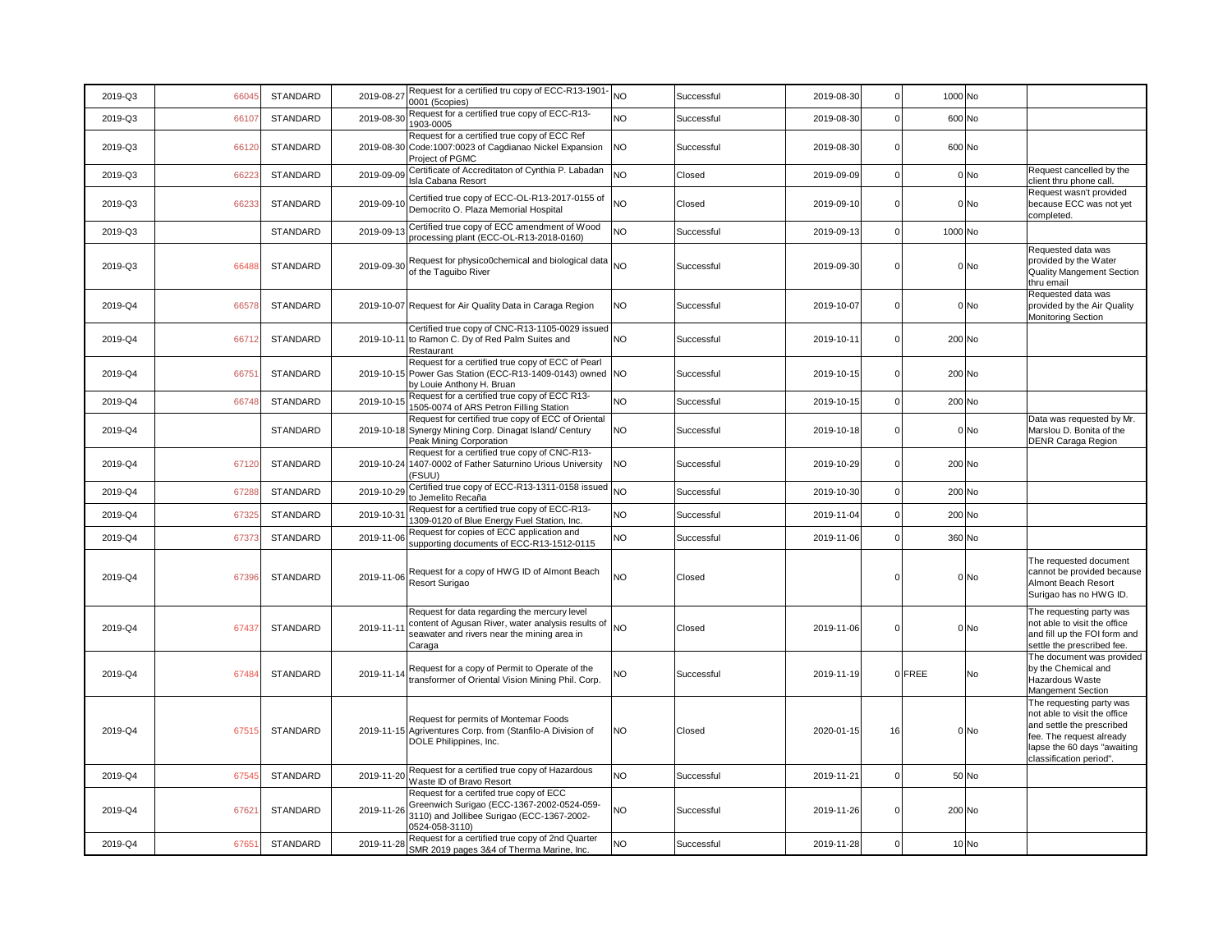| 2019-Q3 | 6604  | <b>STANDARD</b> |            | 2019-08-27 Request for a certified tru copy of ECC-R13-1901-<br>0001 (5copies)                                                                                         | NO        | Successful | 2019-08-30 | $\Omega$    | 1000 No |                 |                                                                                                                                                                             |
|---------|-------|-----------------|------------|------------------------------------------------------------------------------------------------------------------------------------------------------------------------|-----------|------------|------------|-------------|---------|-----------------|-----------------------------------------------------------------------------------------------------------------------------------------------------------------------------|
| 2019-Q3 | 6610  | <b>STANDARD</b> | 2019-08-30 | Request for a certified true copy of ECC-R13-<br>1903-0005                                                                                                             | NO        | Successful | 2019-08-30 | $\Omega$    |         | 600 No          |                                                                                                                                                                             |
| 2019-Q3 | 66120 | STANDARD        |            | Request for a certified true copy of ECC Ref<br>2019-08-30 Code:1007:0023 of Cagdianao Nickel Expansion<br>Project of PGMC                                             | NO        | Successful | 2019-08-30 | $\Omega$    |         | 600 No          |                                                                                                                                                                             |
| 2019-Q3 | 6622  | <b>STANDARD</b> | 2019-09-09 | Certificate of Accreditaton of Cynthia P. Labadan<br>Isla Cabana Resort                                                                                                | NO        | Closed     | 2019-09-09 | $\Omega$    |         | 0 <sub>No</sub> | Request cancelled by the<br>client thru phone call.                                                                                                                         |
| 2019-Q3 | 66233 | <b>STANDARD</b> | 2019-09-1  | Certified true copy of ECC-OL-R13-2017-0155 of<br>Democrito O. Plaza Memorial Hospital                                                                                 | NO.       | Closed     | 2019-09-10 | $\Omega$    |         | 0 <sub>No</sub> | Request wasn't provided<br>because ECC was not yet<br>completed.                                                                                                            |
| 2019-Q3 |       | <b>STANDARD</b> | 2019-09-1  | Certified true copy of ECC amendment of Wood<br>processing plant (ECC-OL-R13-2018-0160)                                                                                | NO        | Successful | 2019-09-13 | $\Omega$    | 1000 No |                 |                                                                                                                                                                             |
| 2019-Q3 | 66488 | STANDARD        | 2019-09-30 | Request for physico0chemical and biological data<br>of the Taquibo River                                                                                               | NO.       | Successful | 2019-09-30 | $\mathbf 0$ |         | $0$ No          | Requested data was<br>provided by the Water<br><b>Quality Mangement Section</b><br>thru email                                                                               |
| 2019-Q4 | 66578 | STANDARD        |            | 2019-10-07 Request for Air Quality Data in Caraga Region                                                                                                               | NO        | Successful | 2019-10-07 | $\mathbf 0$ |         | 0 No            | Requested data was<br>provided by the Air Quality<br>Monitoring Section                                                                                                     |
| 2019-Q4 | 66712 | STANDARD        |            | Certified true copy of CNC-R13-1105-0029 issued<br>2019-10-11 to Ramon C. Dy of Red Palm Suites and<br>Restaurant                                                      | <b>NO</b> | Successful | 2019-10-11 | $\Omega$    |         | 200 No          |                                                                                                                                                                             |
| 2019-Q4 | 6675  | STANDARD        |            | Request for a certified true copy of ECC of Pearl<br>2019-10-15 Power Gas Station (ECC-R13-1409-0143) owned NO<br>by Louie Anthony H. Bruan                            |           | Successful | 2019-10-15 | $\Omega$    |         | 200 No          |                                                                                                                                                                             |
| 2019-Q4 | 6674  | STANDARD        | 2019-10-1  | Request for a certified true copy of ECC R13-<br>1505-0074 of ARS Petron Filling Station                                                                               | NO        | Successful | 2019-10-15 | $\Omega$    |         | 200 No          |                                                                                                                                                                             |
| 2019-Q4 |       | <b>STANDARD</b> |            | Request for certified true copy of ECC of Oriental<br>2019-10-18 Synergy Mining Corp. Dinagat Island/ Century<br>Peak Mining Corporation                               | <b>NO</b> | Successful | 2019-10-18 | $\Omega$    |         | 0 <sub>No</sub> | Data was requested by Mr.<br>Marslou D. Bonita of the<br>DENR Caraga Region                                                                                                 |
| 2019-Q4 | 67120 | STANDARD        |            | Request for a certified true copy of CNC-R13-<br>2019-10-24 1407-0002 of Father Saturnino Urious University<br>(FSUU)                                                  | NO.       | Successful | 2019-10-29 | $\Omega$    |         | 200 No          |                                                                                                                                                                             |
| 2019-Q4 | 67288 | <b>STANDARD</b> | 2019-10-29 | Certified true copy of ECC-R13-1311-0158 issued<br>to Jemelito Recaña                                                                                                  | NO        | Successful | 2019-10-30 | $\Omega$    |         | 200 No          |                                                                                                                                                                             |
| 2019-Q4 | 6732  | STANDARD        |            | 2019-10-31 Request for a certified true copy of ECC-R13-<br>1309-0120 of Blue Energy Fuel Station, Inc.                                                                | NO        | Successful | 2019-11-04 | $\Omega$    |         | 200 No          |                                                                                                                                                                             |
| 2019-Q4 | 6737  | STANDARD        | 2019-11-06 | Request for copies of ECC application and<br>supporting documents of ECC-R13-1512-0115                                                                                 | NO        | Successful | 2019-11-06 | $\Omega$    |         | 360 No          |                                                                                                                                                                             |
| 2019-Q4 | 67396 | STANDARD        |            | Request for a copy of HWG ID of Almont Beach<br>2019-11-06 Resort Surigao                                                                                              | NO        | Closed     |            |             |         | 0 No            | The requested document<br>cannot be provided because<br>Almont Beach Resort<br>Surigao has no HWG ID.                                                                       |
| 2019-Q4 | 67437 | STANDARD        |            | Request for data regarding the mercury level<br>2019-11-11 content of Agusan River, water analysis results of<br>seawater and rivers near the mining area in<br>Caraga | NO        | Closed     | 2019-11-06 | $\Omega$    |         | 0 No            | The requesting party was<br>not able to visit the office<br>and fill up the FOI form and<br>settle the prescribed fee.                                                      |
| 2019-Q4 | 67484 | STANDARD        | 2019-11-14 | Request for a copy of Permit to Operate of the<br>transformer of Oriental Vision Mining Phil. Corp.                                                                    | NO        | Successful | 2019-11-19 |             | 0 FREE  | No              | The document was provided<br>by the Chemical and<br>Hazardous Waste<br><b>Mangement Section</b>                                                                             |
| 2019-Q4 | 67515 | STANDARD        |            | Request for permits of Montemar Foods<br>2019-11-15 Agriventures Corp. from (Stanfilo-A Division of<br>DOLE Philippines, Inc.                                          | NO        | Closed     | 2020-01-15 | 16          |         | $0$ No          | The requesting party was<br>not able to visit the office<br>and settle the prescribed<br>fee. The request already<br>lapse the 60 days "awaiting<br>classification period". |
| 2019-Q4 | 67545 | STANDARD        | 2019-11-20 | Request for a certified true copy of Hazardous<br>Waste ID of Bravo Resort                                                                                             | NO        | Successful | 2019-11-21 | $\Omega$    |         | 50 No           |                                                                                                                                                                             |
| 2019-Q4 | 6762' | STANDARD        | 2019-11-26 | Request for a certifed true copy of ECC<br>Greenwich Surigao (ECC-1367-2002-0524-059-<br>3110) and Jollibee Surigao (ECC-1367-2002-<br>0524-058-3110)                  | NO        | Successful | 2019-11-26 | $\Omega$    |         | 200 No          |                                                                                                                                                                             |
| 2019-Q4 | 67651 | STANDARD        |            | 2019-11-28 Request for a certified true copy of 2nd Quarter<br>SMR 2019 pages 3&4 of Therma Marine, Inc.                                                               | NO        | Successful | 2019-11-28 | $\Omega$    |         | $10$ No         |                                                                                                                                                                             |